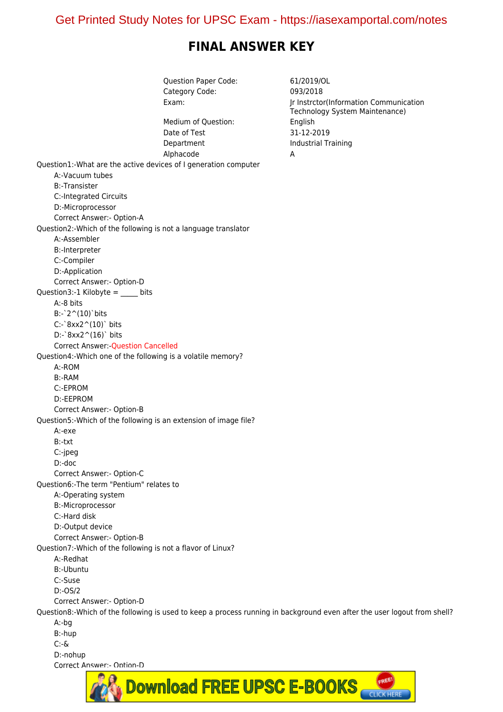# **FINAL ANSWER KEY**

Question Paper Code: 61/2019/OL Category Code: 093/2018 Exam: Jr Instrctor(Information Communication Technology System Maintenance) Medium of Question: English Date of Test 31-12-2019 Department Industrial Training Alphacode A Question1:-What are the active devices of I generation computer A:-Vacuum tubes B:-Transister C:-Integrated Circuits D:-Microprocessor Correct Answer:- Option-A Question2:-Which of the following is not a language translator A:-Assembler B:-Interpreter C:-Compiler D:-Application Correct Answer:- Option-D Question3:-1 Kilobyte = bits A:-8 bits B:-`2^(10)`bits C:-`8xx2^(10)` bits D:-`8xx2^(16)` bits Correct Answer:-Question Cancelled Question4:-Which one of the following is a volatile memory? A:-ROM B:-RAM C:-EPROM D:-EEPROM Correct Answer:- Option-B Question5:-Which of the following is an extension of image file? A:-exe B:-txt C:-jpeg D:-doc Correct Answer:- Option-C Question6:-The term "Pentium" relates to A:-Operating system B:-Microprocessor C:-Hard disk D:-Output device Correct Answer:- Option-B Question7:-Which of the following is not a flavor of Linux? A:-Redhat B:-Ubuntu C:-Suse D:-OS/2 Correct Answer:- Option-D Question8:-Which of the following is used to keep a process running in background even after the user logout from shell? A:-bg B:-hup C:-& D:-nohup Correct Answer: - Ontion-D

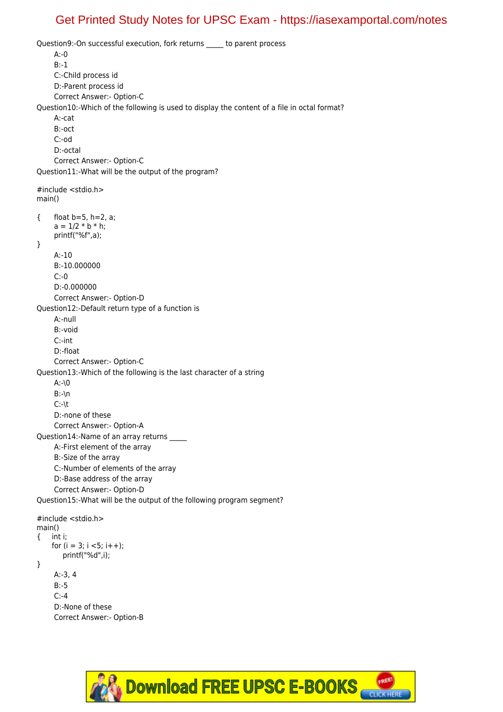Question9:-On successful execution, fork returns \_\_\_\_\_ to parent process A:-0 B:-1 C:-Child process id D:-Parent process id Correct Answer:- Option-C Question10:-Which of the following is used to display the content of a file in octal format? A:-cat B:-oct C:-od D:-octal Correct Answer:- Option-C Question11:-What will be the output of the program? #include <stdio.h> main() { float b=5, h=2, a;  $a = 1/2 * b * h;$  printf("%f",a); } A:-10 B:-10.000000  $C: -0$  D:-0.000000 Correct Answer:- Option-D Question12:-Default return type of a function is A:-null B:-void C:-int D:-float Correct Answer:- Option-C Question13:-Which of the following is the last character of a string A:-\0 B:-\n C:-\t D:-none of these Correct Answer:- Option-A Question14:-Name of an array returns A:-First element of the array B:-Size of the array C:-Number of elements of the array D:-Base address of the array Correct Answer:- Option-D Question15:-What will be the output of the following program segment? #include <stdio.h> main() { int i; for  $(i = 3; i < 5; i++)$ ; printf("%d",i); } A:-3, 4

 B:-5 C:-4 D:-None of these Correct Answer:- Option-B

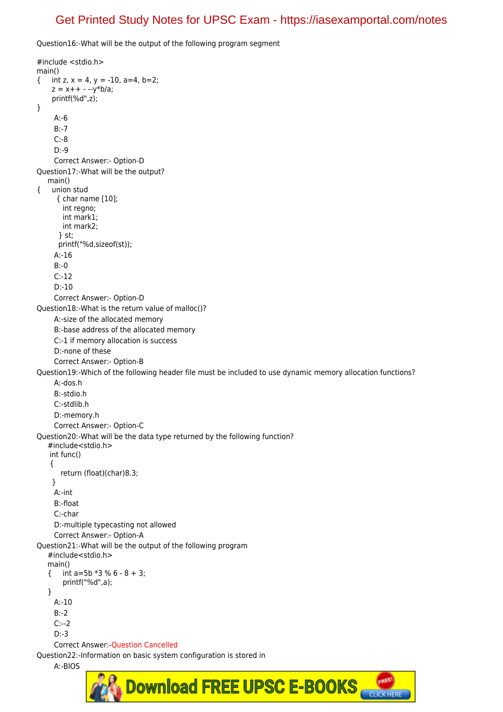Question16:-What will be the output of the following program segment

#include <stdio.h> main() { int z,  $x = 4$ ,  $y = -10$ ,  $a=4$ ,  $b=2$ ;  $z = x + + - -y^*b/a;$  printf(%d",z); } A:-6 B:-7 C:-8 D:-9 Correct Answer:- Option-D Question17:-What will be the output? main() { union stud { char name [10]; int regno; int mark1; int mark2; } st; printf("%d,sizeof(st)); A:-16 B:-0  $C:12$  D:-10 Correct Answer:- Option-D Question18:-What is the return value of malloc()? A:-size of the allocated memory B:-base address of the allocated memory C:-1 if memory allocation is success D:-none of these Correct Answer:- Option-B Question19:-Which of the following header file must be included to use dynamic memory allocation functions? A:-dos.h B:-stdio.h C:-stdlib.h D:-memory.h Correct Answer:- Option-C Question20:-What will be the data type returned by the following function? #include<stdio.h> int func() { return (float)(char)8.3; } A:-int B:-float C:-char D:-multiple typecasting not allowed Correct Answer:- Option-A Question21:-What will be the output of the following program #include<stdio.h> main()  $\{$  int a=5b  $*3 \% 6 - 8 + 3$ ; printf("%d",a); } A:-10 B:-2 C:--2 D:-3 Correct Answer:-Question Cancelled Question22:-Information on basic system configuration is stored in

A:-BIOS

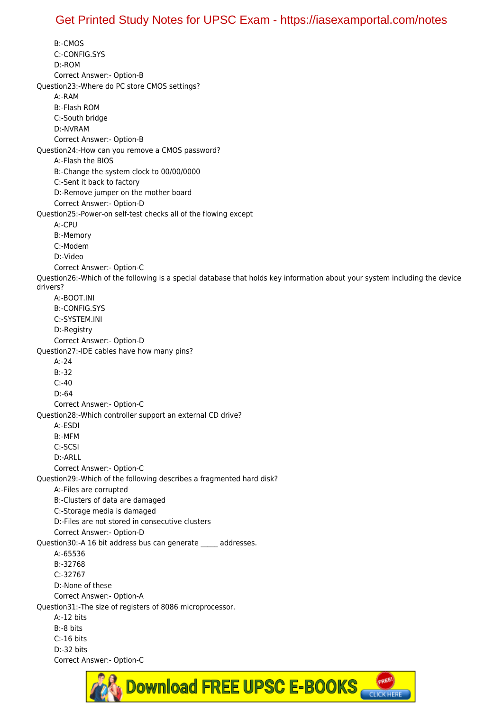B:-CMOS C:-CONFIG.SYS D:-ROM Correct Answer:- Option-B Question23:-Where do PC store CMOS settings? A:-RAM B:-Flash ROM C:-South bridge D:-NVRAM Correct Answer:- Option-B Question24:-How can you remove a CMOS password? A:-Flash the BIOS B:-Change the system clock to 00/00/0000 C:-Sent it back to factory D:-Remove jumper on the mother board Correct Answer:- Option-D Question25:-Power-on self-test checks all of the flowing except A:-CPU B:-Memory C:-Modem D:-Video Correct Answer:- Option-C Question26:-Which of the following is a special database that holds key information about your system including the device drivers? A:-BOOT.INI B:-CONFIG.SYS C:-SYSTEM.INI D:-Registry Correct Answer:- Option-D Question27:-IDE cables have how many pins? A:-24 B:-32 C:-40 D:-64 Correct Answer:- Option-C Question28:-Which controller support an external CD drive? A:-ESDI B:-MFM C:-SCSI D:-ARLL Correct Answer:- Option-C Question29:-Which of the following describes a fragmented hard disk? A:-Files are corrupted B:-Clusters of data are damaged C:-Storage media is damaged D:-Files are not stored in consecutive clusters Correct Answer:- Option-D Question30:-A 16 bit address bus can generate addresses. A:-65536 B:-32768 C:-32767 D:-None of these Correct Answer:- Option-A Question31:-The size of registers of 8086 microprocessor. A:-12 bits B:-8 bits C:-16 bits D:-32 bits Correct Answer:- Option-C

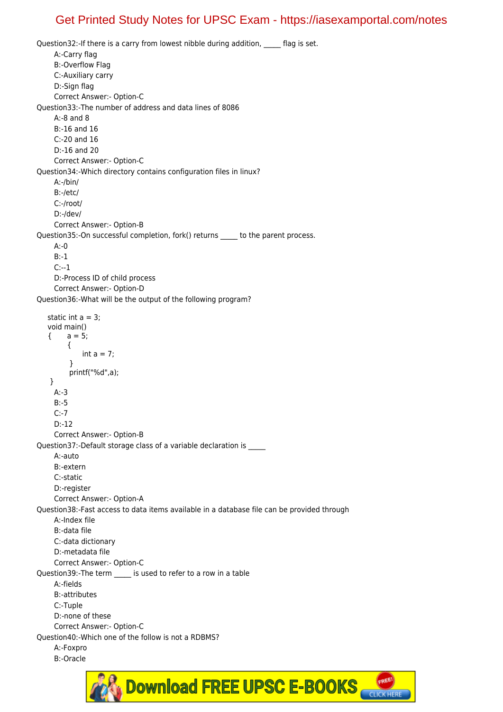Question32:-If there is a carry from lowest nibble during addition, flag is set. A:-Carry flag B:-Overflow Flag C:-Auxiliary carry D:-Sign flag Correct Answer:- Option-C Question33:-The number of address and data lines of 8086 A:-8 and 8 B:-16 and 16 C:-20 and 16 D:-16 and 20 Correct Answer:- Option-C Question34:-Which directory contains configuration files in linux? A:-/bin/ B:-/etc/ C:-/root/ D:-/dev/ Correct Answer:- Option-B Question35:-On successful completion, fork() returns \_\_\_\_\_ to the parent process. A:-0 B:-1 C:--1 D:-Process ID of child process Correct Answer:- Option-D Question36:-What will be the output of the following program? static int  $a = 3$ ; void main()  ${ }$ { a = 5; { int  $a = 7$ ; } printf("%d",a); } A:-3 B:-5 C:-7 D:-12 Correct Answer:- Option-B Question37:-Default storage class of a variable declaration is \_\_\_\_\_ A:-auto B:-extern C:-static D:-register Correct Answer:- Option-A Question38:-Fast access to data items available in a database file can be provided through A:-Index file B:-data file C:-data dictionary D:-metadata file Correct Answer:- Option-C Question39:-The term is used to refer to a row in a table A:-fields B:-attributes C:-Tuple D:-none of these Correct Answer:- Option-C Question40:-Which one of the follow is not a RDBMS? A:-Foxpro B:-Oracle

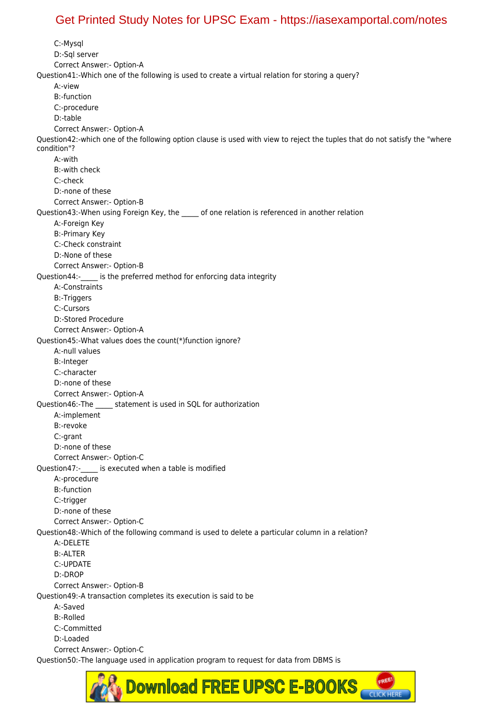C:-Mysql D:-Sql server Correct Answer:- Option-A Question41:-Which one of the following is used to create a virtual relation for storing a query? A:-view B:-function C:-procedure D:-table Correct Answer:- Option-A Question42:-which one of the following option clause is used with view to reject the tuples that do not satisfy the "where condition"? A:-with B:-with check C:-check D:-none of these Correct Answer:- Option-B Question43:-When using Foreign Key, the \_\_\_\_\_ of one relation is referenced in another relation A:-Foreign Key B:-Primary Key C:-Check constraint D:-None of these Correct Answer:- Option-B Question44:- is the preferred method for enforcing data integrity A:-Constraints B:-Triggers C:-Cursors D:-Stored Procedure Correct Answer:- Option-A Question45:-What values does the count(\*)function ignore? A:-null values B:-Integer C:-character D:-none of these Correct Answer:- Option-A Question46:-The statement is used in SQL for authorization A:-implement B:-revoke C:-grant D:-none of these Correct Answer:- Option-C Question47:- is executed when a table is modified A:-procedure B:-function C:-trigger D:-none of these Correct Answer:- Option-C Question48:-Which of the following command is used to delete a particular column in a relation? A:-DELETE B:-ALTER C:-UPDATE D:-DROP Correct Answer:- Option-B Question49:-A transaction completes its execution is said to be A:-Saved B:-Rolled C:-Committed D:-Loaded Correct Answer:- Option-C Question50:-The language used in application program to request for data from DBMS is

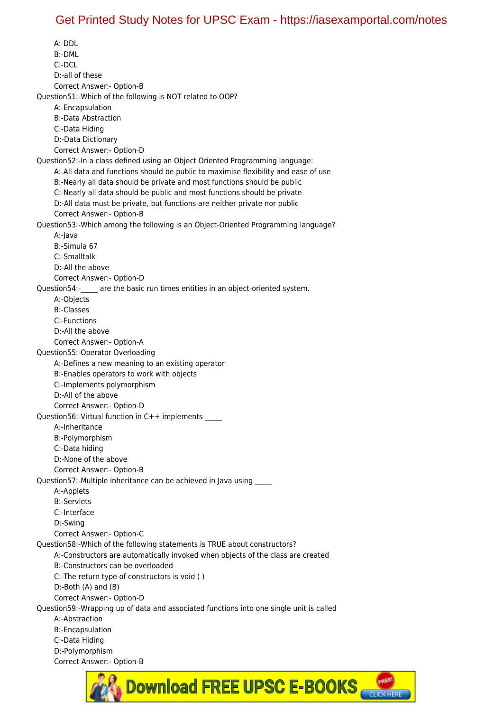A:-DDL B:-DML C:-DCL D:-all of these Correct Answer:- Option-B Question51:-Which of the following is NOT related to OOP? A:-Encapsulation B:-Data Abstraction C:-Data Hiding D:-Data Dictionary Correct Answer:- Option-D Question52:-In a class defined using an Object Oriented Programming language: A:-All data and functions should be public to maximise flexibility and ease of use B:-Nearly all data should be private and most functions should be public C:-Nearly all data should be public and most functions should be private D:-All data must be private, but functions are neither private nor public Correct Answer:- Option-B Question53:-Which among the following is an Object-Oriented Programming language? A:-Java B:-Simula 67 C:-Smalltalk D:-All the above Correct Answer:- Option-D Question54:- are the basic run times entities in an object-oriented system. A:-Objects B:-Classes C:-Functions D:-All the above Correct Answer:- Option-A Question55:-Operator Overloading A:-Defines a new meaning to an existing operator B:-Enables operators to work with objects C:-Implements polymorphism D:-All of the above Correct Answer:- Option-D Question56:-Virtual function in C++ implements \_\_\_\_\_ A:-Inheritance B:-Polymorphism C:-Data hiding D:-None of the above Correct Answer:- Option-B Question57:-Multiple inheritance can be achieved in Java using \_\_\_\_\_ A:-Applets B:-Servlets C:-Interface D:-Swing Correct Answer:- Option-C Question58:-Which of the following statements is TRUE about constructors? A:-Constructors are automatically invoked when objects of the class are created B:-Constructors can be overloaded C:-The return type of constructors is void ( ) D:-Both (A) and (B) Correct Answer:- Option-D Question59:-Wrapping up of data and associated functions into one single unit is called A:-Abstraction B:-Encapsulation C:-Data Hiding D:-Polymorphism Correct Answer:- Option-B

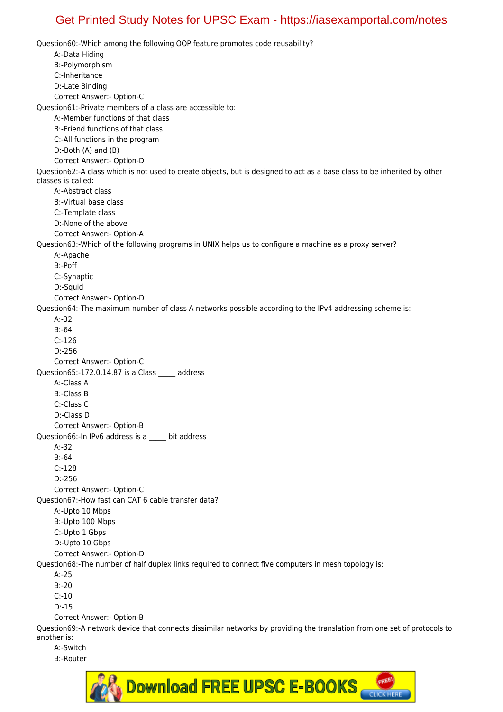Question60:-Which among the following OOP feature promotes code reusability? A:-Data Hiding B:-Polymorphism C:-Inheritance D:-Late Binding Correct Answer:- Option-C Question61:-Private members of a class are accessible to: A:-Member functions of that class B:-Friend functions of that class C:-All functions in the program D:-Both (A) and (B) Correct Answer:- Option-D Question62:-A class which is not used to create objects, but is designed to act as a base class to be inherited by other classes is called: A:-Abstract class B:-Virtual base class C:-Template class D:-None of the above Correct Answer:- Option-A Question63:-Which of the following programs in UNIX helps us to configure a machine as a proxy server? A:-Apache B:-Poff C:-Synaptic D:-Squid Correct Answer:- Option-D Question64:-The maximum number of class A networks possible according to the IPv4 addressing scheme is: A:-32 B:-64  $C:126$  D:-256 Correct Answer:- Option-C Question65:-172.0.14.87 is a Class \_\_\_\_\_ address A:-Class A B:-Class B C:-Class C D:-Class D Correct Answer:- Option-B Question66:-In IPv6 address is a \_\_\_\_\_ bit address A:-32 B:-64 C:-128 D:-256 Correct Answer:- Option-C Question67:-How fast can CAT 6 cable transfer data? A:-Upto 10 Mbps B:-Upto 100 Mbps C:-Upto 1 Gbps D:-Upto 10 Gbps Correct Answer:- Option-D Question68:-The number of half duplex links required to connect five computers in mesh topology is: A:-25 B:-20 C:-10 D:-15 Correct Answer:- Option-B Question69:-A network device that connects dissimilar networks by providing the translation from one set of protocols to another is: A:-Switch

B:-Router

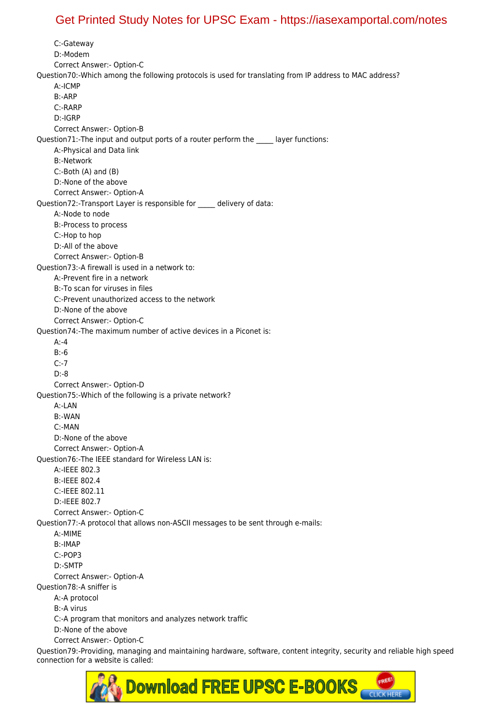C:-Gateway D:-Modem Correct Answer:- Option-C Question70:-Which among the following protocols is used for translating from IP address to MAC address? A:-ICMP B:-ARP C:-RARP D:-IGRP Correct Answer:- Option-B Question71:-The input and output ports of a router perform the layer functions: A:-Physical and Data link B:-Network C:-Both (A) and (B) D:-None of the above Correct Answer:- Option-A Question72:-Transport Layer is responsible for \_\_\_\_\_ delivery of data: A:-Node to node B:-Process to process C:-Hop to hop D:-All of the above Correct Answer:- Option-B Question73:-A firewall is used in a network to: A:-Prevent fire in a network B:-To scan for viruses in files C:-Prevent unauthorized access to the network D:-None of the above Correct Answer:- Option-C Question74:-The maximum number of active devices in a Piconet is:  $A: -4$  B:-6 C:-7 D:-8 Correct Answer:- Option-D Question75:-Which of the following is a private network? A:-LAN B:-WAN C:-MAN D:-None of the above Correct Answer:- Option-A Question76:-The IEEE standard for Wireless LAN is: A:-IEEE 802.3 B:-IEEE 802.4 C:-IEEE 802.11 D:-IEEE 802.7 Correct Answer:- Option-C Question77:-A protocol that allows non-ASCII messages to be sent through e-mails: A:-MIME B:-IMAP C:-POP3 D:-SMTP Correct Answer:- Option-A Question78:-A sniffer is A:-A protocol B:-A virus C:-A program that monitors and analyzes network traffic D:-None of the above Correct Answer:- Option-C Question79:-Providing, managing and maintaining hardware, software, content integrity, security and reliable high speed connection for a website is called:

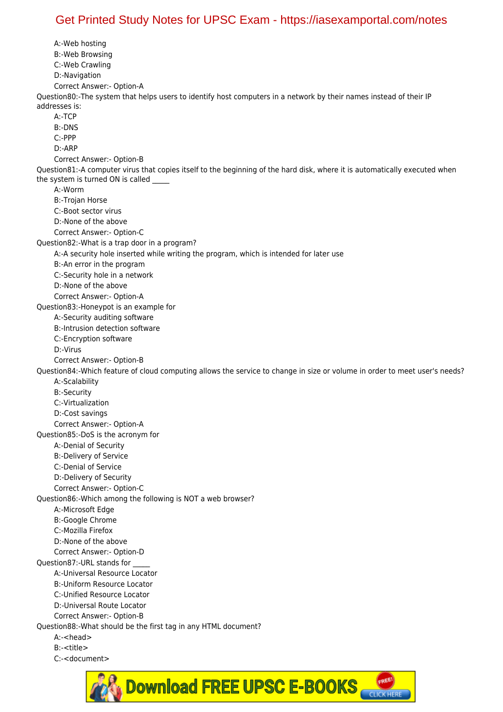A:-Web hosting B:-Web Browsing C:-Web Crawling D:-Navigation Correct Answer:- Option-A Question80:-The system that helps users to identify host computers in a network by their names instead of their IP addresses is: A:-TCP B:-DNS C:-PPP D:-ARP Correct Answer:- Option-B Question81:-A computer virus that copies itself to the beginning of the hard disk, where it is automatically executed when the system is turned ON is called A:-Worm B:-Trojan Horse C:-Boot sector virus D:-None of the above Correct Answer:- Option-C Question82:-What is a trap door in a program? A:-A security hole inserted while writing the program, which is intended for later use B:-An error in the program C:-Security hole in a network D:-None of the above Correct Answer:- Option-A Question83:-Honeypot is an example for A:-Security auditing software B:-Intrusion detection software C:-Encryption software D:-Virus Correct Answer:- Option-B Question84:-Which feature of cloud computing allows the service to change in size or volume in order to meet user's needs? A:-Scalability B:-Security C:-Virtualization D:-Cost savings Correct Answer:- Option-A Question85:-DoS is the acronym for A:-Denial of Security B:-Delivery of Service C:-Denial of Service D:-Delivery of Security Correct Answer:- Option-C Question86:-Which among the following is NOT a web browser? A:-Microsoft Edge B:-Google Chrome C:-Mozilla Firefox D:-None of the above Correct Answer:- Option-D Question87:-URL stands for \_\_\_\_\_ A:-Universal Resource Locator B:-Uniform Resource Locator C:-Unified Resource Locator D:-Universal Route Locator Correct Answer:- Option-B Question88:-What should be the first tag in any HTML document? A:-<head> B:-<title> C:-<document>

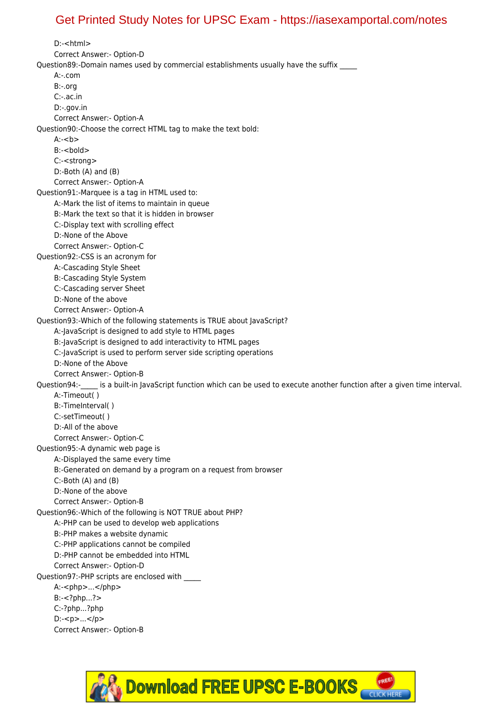D:-<html> Correct Answer:- Option-D Question89:-Domain names used by commercial establishments usually have the suffix \_\_\_\_ A:-.com B:-.org C:-.ac.in D:-.gov.in Correct Answer:- Option-A Question90:-Choose the correct HTML tag to make the text bold: A:-<h> B:-<br/>bold> C:-<strong> D:-Both (A) and (B) Correct Answer:- Option-A Question91:-Marquee is a tag in HTML used to: A:-Mark the list of items to maintain in queue B:-Mark the text so that it is hidden in browser C:-Display text with scrolling effect D:-None of the Above Correct Answer:- Option-C Question92:-CSS is an acronym for A:-Cascading Style Sheet B:-Cascading Style System C:-Cascading server Sheet D:-None of the above Correct Answer:- Option-A Question93:-Which of the following statements is TRUE about JavaScript? A:-JavaScript is designed to add style to HTML pages B:-JavaScript is designed to add interactivity to HTML pages C:-JavaScript is used to perform server side scripting operations D:-None of the Above Correct Answer:- Option-B Question94:- is a built-in JavaScript function which can be used to execute another function after a given time interval. A:-Timeout( ) B:-TimeInterval( ) C:-setTimeout( ) D:-All of the above Correct Answer:- Option-C Question95:-A dynamic web page is A:-Displayed the same every time B:-Generated on demand by a program on a request from browser C:-Both (A) and (B) D:-None of the above Correct Answer:- Option-B Question96:-Which of the following is NOT TRUE about PHP? A:-PHP can be used to develop web applications B:-PHP makes a website dynamic C:-PHP applications cannot be compiled D:-PHP cannot be embedded into HTML Correct Answer:- Option-D Question97:-PHP scripts are enclosed with \_\_\_\_\_ A:-<php>...</php> B:-<?php...?> C:-?php...?php D:-<p>...</p> Correct Answer:- Option-B